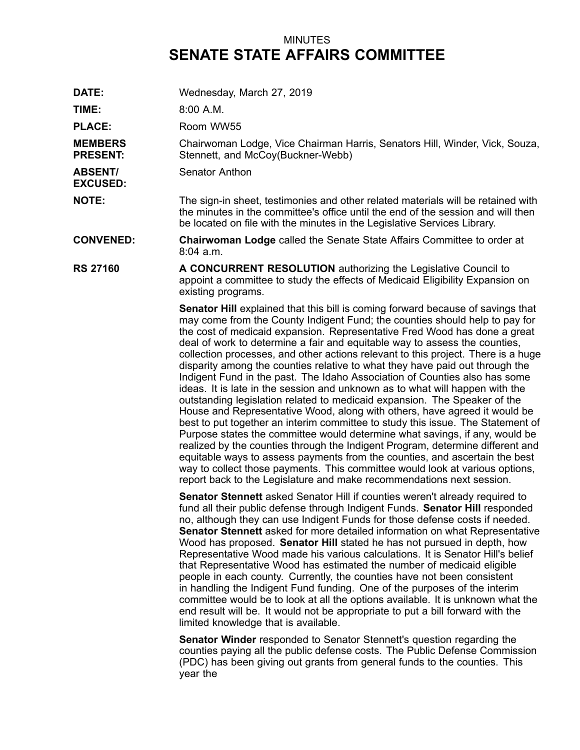## MINUTES **SENATE STATE AFFAIRS COMMITTEE**

**DATE:** Wednesday, March 27, 2019 **TIME:** 8:00 A.M. PLACE: Room WW55 **MEMBERS PRESENT:** Chairwoman Lodge, Vice Chairman Harris, Senators Hill, Winder, Vick, Souza, Stennett, and McCoy(Buckner-Webb) **ABSENT/ EXCUSED:** Senator Anthon **NOTE:** The sign-in sheet, testimonies and other related materials will be retained with the minutes in the committee's office until the end of the session and will then be located on file with the minutes in the Legislative Services Library. **CONVENED: Chairwoman Lodge** called the Senate State Affairs Committee to order at 8:04 a.m. **RS 27160 A CONCURRENT RESOLUTION** authorizing the Legislative Council to appoint <sup>a</sup> committee to study the effects of Medicaid Eligibility Expansion on existing programs. **Senator Hill** explained that this bill is coming forward because of savings that may come from the County Indigent Fund; the counties should help to pay for the cost of medicaid expansion. Representative Fred Wood has done <sup>a</sup> great deal of work to determine <sup>a</sup> fair and equitable way to assess the counties, collection processes, and other actions relevant to this project. There is <sup>a</sup> huge disparity among the counties relative to what they have paid out through the Indigent Fund in the past. The Idaho Association of Counties also has some ideas. It is late in the session and unknown as to what will happen with the outstanding legislation related to medicaid expansion. The Speaker of the House and Representative Wood, along with others, have agreed it would be best to put together an interim committee to study this issue. The Statement of Purpose states the committee would determine what savings, if any, would be realized by the counties through the Indigent Program, determine different and equitable ways to assess payments from the counties, and ascertain the best way to collect those payments. This committee would look at various options,

> **Senator Stennett** asked Senator Hill if counties weren't already required to fund all their public defense through Indigent Funds. **Senator Hill** responded no, although they can use Indigent Funds for those defense costs if needed. **Senator Stennett** asked for more detailed information on what Representative Wood has proposed. **Senator Hill** stated he has not pursued in depth, how Representative Wood made his various calculations. It is Senator Hill's belief that Representative Wood has estimated the number of medicaid eligible people in each county. Currently, the counties have not been consistent in handling the Indigent Fund funding. One of the purposes of the interim committee would be to look at all the options available. It is unknown what the end result will be. It would not be appropriate to put <sup>a</sup> bill forward with the limited knowledge that is available.

report back to the Legislature and make recommendations next session.

**Senator Winder** responded to Senator Stennett's question regarding the counties paying all the public defense costs. The Public Defense Commission (PDC) has been giving out grants from general funds to the counties. This year the